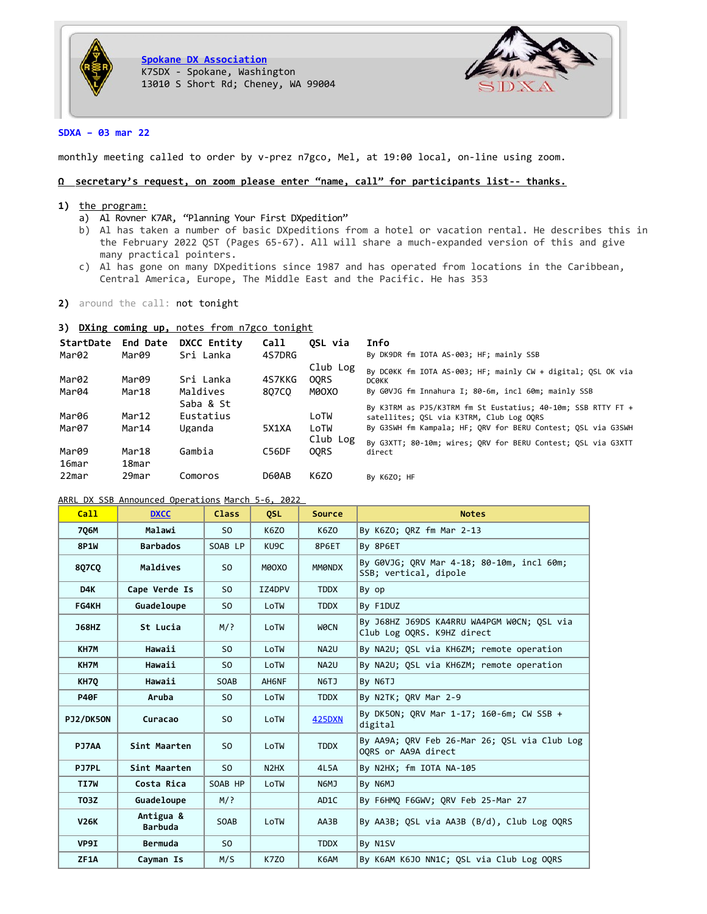



# **SDXA – 03 mar 22**

monthly meeting called to order by v-prez n7gco, Mel, at 19:00 local, on-line using zoom.

## **Ω secretary's request, on zoom please enter "name, call" for participants list-- thanks.**

### **1)** the program:

- a) Al Rovner K7AR, "Planning Your First DXpedition"
- b) Al has taken a number of basic DXpeditions from a hotel or vacation rental. He describes this in the February 2022 QST (Pages 65-67). All will share a much-expanded version of this and give many practical pointers.
- c) Al has gone on many DXpeditions since 1987 and has operated from locations in the Caribbean, Central America, Europe, The Middle East and the Pacific. He has 353
- **2)** around the call: not tonight

# **3) DXing coming up,** notes from n7gco tonight

| StartDate<br>Mar02 | End Date<br>Mar09 | DXCC Entity<br>Sri Lanka | <b>Call</b><br>4S7DRG | OSL via     | Info<br>By DK9DR fm IOTA AS-003; HF; mainly SSB              |
|--------------------|-------------------|--------------------------|-----------------------|-------------|--------------------------------------------------------------|
|                    |                   |                          |                       | Club Log    | By DC0KK fm IOTA AS-003; HF; mainly CW + digital; OSL OK via |
| Mar02              | Mar09             | Sri Lanka                | 4S7KKG                | <b>OORS</b> | <b>DCOKK</b>                                                 |
| Mar04              | Mar18             | Maldives                 | 807CO                 | MOOXO       | By G0VJG fm Innahura I; 80-6m, incl 60m; mainly SSB          |
|                    |                   | Saba & St                |                       |             | By K3TRM as PJ5/K3TRM fm St Eustatius; 40-10m; SSB RTTY FT + |
| Mar06              | Mar12             | Eustatius                |                       | LoTW        | satellites; OSL via K3TRM, Club Log OORS                     |
| Mar07              | Mar14             | Uganda                   | 5X1XA                 | LoTW        | By G3SWH fm Kampala; HF; ORV for BERU Contest; OSL via G3SWH |
|                    |                   |                          |                       | Club Log    | By G3XTT; 80-10m; wires; QRV for BERU Contest; QSL via G3XTT |
| Mar09              | Mar18             | Gambia                   | C56DF                 | <b>OORS</b> | direct                                                       |
| 16mar              | 18mar             |                          |                       |             |                                                              |
| 22mar              | 29mar             | Comoros                  | D60AB                 | K6Z0        | By K6ZO; HF                                                  |

## ARRL DX SSB Announced Operations March 5-6, 2022

| Call         | <b>DXCC</b>                 | <b>Class</b>   | <b>OSL</b>                    | Source            | <b>Notes</b>                                                             |
|--------------|-----------------------------|----------------|-------------------------------|-------------------|--------------------------------------------------------------------------|
| 706M         | Malawi                      | S <sub>0</sub> | K6ZO                          | K6Z0              | By K6ZO; ORZ fm Mar 2-13                                                 |
| <b>8P1W</b>  | <b>Barbados</b>             | SOAB LP        | KU9C                          | 8P6ET             | By 8P6ET                                                                 |
| 807CQ        | Maldives                    | SO.            | MOOXO                         | <b>MMONDX</b>     | By G0VJG; ORV Mar 4-18; 80-10m, incl 60m;<br>SSB; vertical, dipole       |
| D4K          | Cape Verde Is               | S <sub>0</sub> | IZ4DPV                        | <b>TDDX</b>       | By op                                                                    |
| FG4KH        | Guadeloupe                  | S <sub>0</sub> | LoTW                          | <b>TDDX</b>       | By F1DUZ                                                                 |
| <b>J68HZ</b> | St Lucia                    | $M$ ?          | LoTW                          | WOCN              | By J68HZ J69DS KA4RRU WA4PGM W0CN; OSL via<br>Club Log OORS. K9HZ direct |
| KH7M         | Hawaii                      | SO.            | LoTW                          | NA2U              | By NA2U; OSL via KH6ZM; remote operation                                 |
| KH7M         | Hawaii                      | S <sub>0</sub> | LoTW                          | NA <sub>2U</sub>  | By NA2U; QSL via KH6ZM; remote operation                                 |
| KH70         | Hawaii                      | <b>SOAB</b>    | AH6NF                         | N6TJ              | By N6TJ                                                                  |
| <b>P40F</b>  | Aruba                       | SO.            | LoTW                          | <b>TDDX</b>       | By N2TK; QRV Mar 2-9                                                     |
| PJ2/DK50N    | Curacao                     | SO.            | LoTW                          | <b>425DXN</b>     | By DK5ON; QRV Mar 1-17; 160-6m; CW SSB +<br>digital                      |
| PJ7AA        | Sint Maarten                | S <sub>0</sub> | LoTW                          | <b>TDDX</b>       | By AA9A; QRV Feb 26-Mar 26; QSL via Club Log<br>OORS or AA9A direct      |
| <b>PJ7PL</b> | Sint Maarten                | S <sub>0</sub> | N <sub>2</sub> H <sub>X</sub> | 4L5A              | By N2HX; fm IOTA NA-105                                                  |
| TI7W         | Costa Rica                  | SOAB HP        | LoTW                          | N6MJ              | By N6MJ                                                                  |
| <b>T03Z</b>  | Guadeloupe                  | $M$ ?          |                               | AD <sub>1</sub> C | By F6HMQ F6GWV; QRV Feb 25-Mar 27                                        |
| <b>V26K</b>  | Antigua &<br><b>Barbuda</b> | <b>SOAB</b>    | LoTW                          | AA3B              | By AA3B; QSL via AA3B (B/d), Club Log OQRS                               |
| VP9I         | Bermuda                     | SO.            |                               | <b>TDDX</b>       | By N1SV                                                                  |
| ZF1A         | Cayman Is                   | M/S            | K7Z0                          | K6AM              | By K6AM K6JO NN1C; QSL via Club Log OQRS                                 |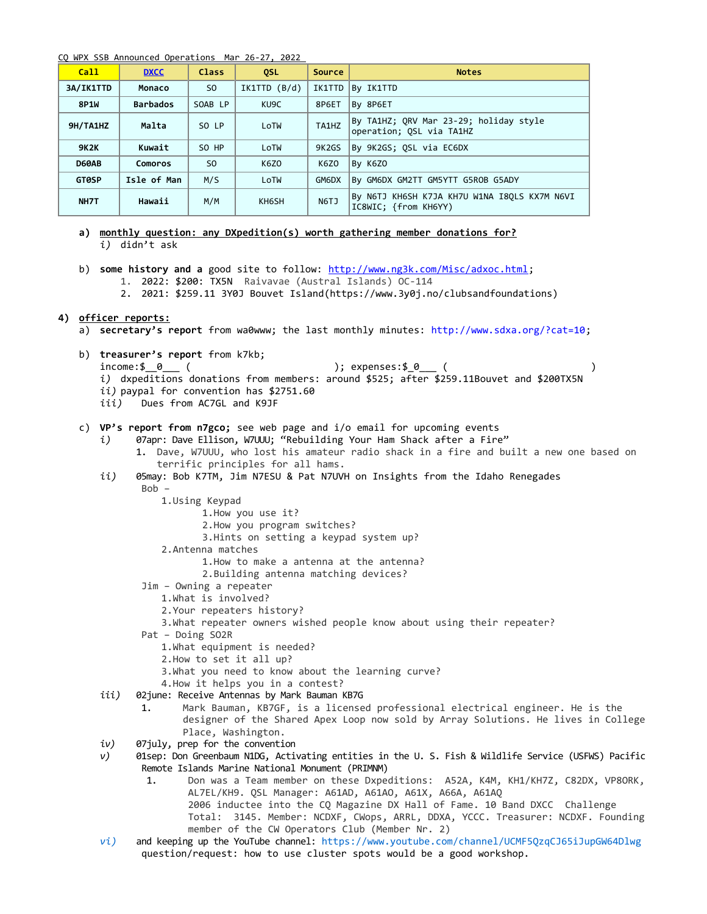CQ WPX SSB Announced Operations Mar 26-27, 2022

| Call         | <b>DXCC</b>     | <b>Class</b>   | <b>OSL</b>   | <b>Source</b>     | <b>Notes</b>                                                         |
|--------------|-----------------|----------------|--------------|-------------------|----------------------------------------------------------------------|
| 3A/IK1TTD    | Monaco          | SO.            | IK1TTD (B/d) | IK1TTD            | By IK1TTD                                                            |
| <b>8P1W</b>  | <b>Barbados</b> | SOAB LP        | KU9C         | 8P6ET             | By 8P6ET                                                             |
| 9H/TA1HZ     | Malta           | SO LP          | LoTW         | TA1HZ             | By TA1HZ; QRV Mar 23-29; holiday style<br>operation; QSL via TA1HZ   |
| <b>9K2K</b>  | Kuwait          | SO HP          | LoTW         | 9K <sub>2GS</sub> | By 9K2GS; QSL via EC6DX                                              |
| D60AB        | Comoros         | S <sub>0</sub> | K6Z0         | <b>K6Z0</b>       | By K6ZO                                                              |
| <b>GTOSP</b> | Isle of Man     | M/S            | LoTW         | GM6DX             | By GM6DX GM2TT GM5YTT G5ROB G5ADY                                    |
| NH7T         | Hawaii          | M/M            | KH6SH        | <b>N6TJ</b>       | By N6TJ KH6SH K7JA KH7U W1NA I8OLS KX7M N6VI<br>IC8WIC; {from KH6YY) |

- **a) monthly question: any DXpedition(s) worth gathering member donations for?** *i)* didn't ask
- b) **some history and a** good site to follow: [http://www.ng3k.com/Misc/adxoc.html;](http://www.ng3k.com/Misc/adxoc.html) 1. 2022: \$200: TX5N Raivavae (Austral Islands) OC-114
	- 2. 2021: \$259.11 3Y0J Bouvet Island(https://www.3y0j.no/clubsandfoundations)

## **4) officer reports:**

- a) **secretary's report** from wa0www; the last monthly minutes:<http://www.sdxa.org/?cat=10>;
- b) **treasurer's report** from k7kb;
	- income:\$\_\_0\_\_\_ ( ); expenses:\$\_0\_\_\_ (
	- *i)* dxpeditions donations from members: around \$525; after \$259.11Bouvet and \$200TX5N
	- *ii)* paypal for convention has \$2751.60
	- *iii)* Dues from AC7GL and K9JF
- c) **VP's report from n7gco;** see web page and i/o email for upcoming events
	- *i)* 07apr: Dave Ellison, W7UUU; "Rebuilding Your Ham Shack after a Fire"
		- 1. Dave, W7UUU, who lost his amateur radio shack in a fire and built a new one based on terrific principles for all hams.
	- *ii)* 05may: Bob K7TM, Jim N7ESU & Pat N7UVH on Insights from the Idaho Renegades  $Bob -$ 
		- 1.Using Keypad
			- 1.How you use it?
			- 2.How you program switches?
			- 3.Hints on setting a keypad system up?
		- 2.Antenna matches
			- 1.How to make a antenna at the antenna?
			- 2.Building antenna matching devices?
		- Jim Owning a repeater
			- 1.What is involved?
			- 2.Your repeaters history?
			- 3.What repeater owners wished people know about using their repeater?
		- Pat Doing SO2R
			- 1.What equipment is needed?
			- 2.How to set it all up?
			- 3.What you need to know about the learning curve?
	- 4.How it helps you in a contest?
	- *iii)* 02june: Receive Antennas by Mark Bauman KB7G
		- 1. Mark Bauman, KB7GF, is a licensed professional electrical engineer. He is the designer of the Shared Apex Loop now sold by Array Solutions. He lives in College Place, Washington.
	- *iv)* 07july, prep for the convention
	- *v)* 01sep: Don Greenbaum N1DG, Activating entities in the U. S. Fish & Wildlife Service (USFWS) Pacific Remote Islands Marine National Monument (PRIMNM)
		- 1. Don was a Team member on these Dxpeditions: A52A, K4M, KH1/KH7Z, C82DX, VP8ORK, AL7EL/KH9. QSL Manager: A61AD, A61AO, A61X, A66A, A61AQ 2006 inductee into the CQ Magazine DX Hall of Fame. 10 Band DXCC Challenge Total: 3145. Member: NCDXF, CWops, ARRL, DDXA, YCCC. Treasurer: NCDXF. Founding member of the CW Operators Club (Member Nr. 2)
	- *vi)* and keeping up the YouTube channel: <https://www.youtube.com/channel/UCMF5QzqCJ65iJupGW64Dlwg> question/request: how to use cluster spots would be a good workshop.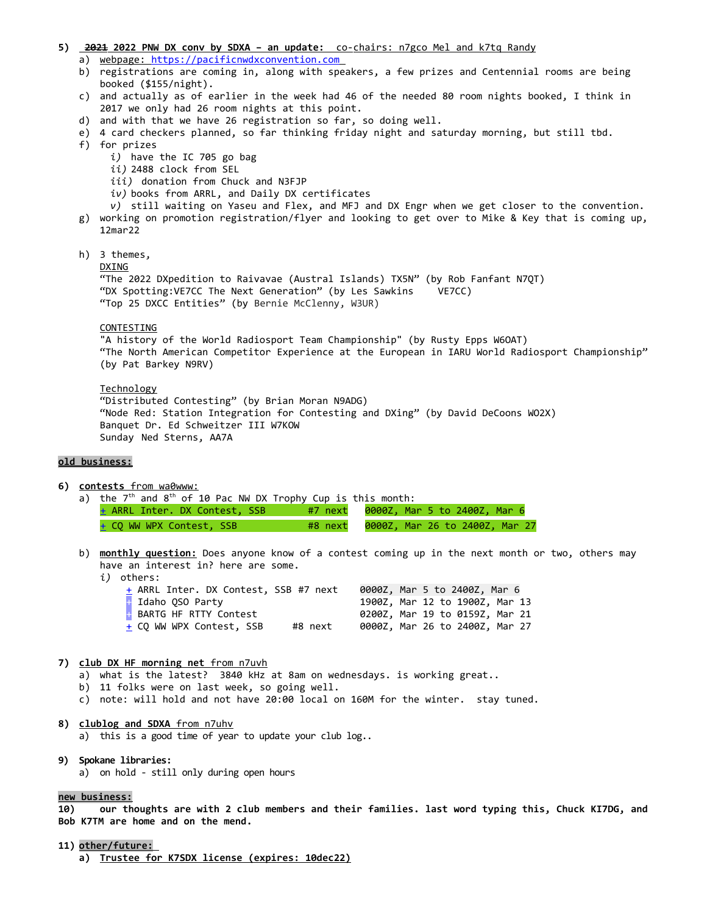#### **5) 2021 2022 PNW DX conv by SDXA – an update:** co-chairs: n7gco Mel and k7tq Randy

- a) webpage: [https://pacificnwdxconvention.com](https://pacificnwdxconvention.com/)
- b) registrations are coming in, along with speakers, a few prizes and Centennial rooms are being booked (\$155/night).
- c) and actually as of earlier in the week had 46 of the needed 80 room nights booked, I think in 2017 we only had 26 room nights at this point.
- d) and with that we have 26 registration so far, so doing well.
- e) 4 card checkers planned, so far thinking friday night and saturday morning, but still tbd.
- f) for prizes
	- *i)* have the IC 705 go bag
	- *ii)* 2488 clock from SEL
	- *iii)* donation from Chuck and N3FJP
	- *iv)* books from ARRL, and Daily DX certificates
	- *v)* still waiting on Yaseu and Flex, and MFJ and DX Engr when we get closer to the convention.
- g) working on promotion registration/flyer and looking to get over to Mike & Key that is coming up, 12mar22
- h) 3 themes,

#### DXING

"The 2022 DXpedition to Raivavae (Austral Islands) TX5N" (by Rob Fanfant N7QT) "DX Spotting:VE7CC The Next Generation" (by Les Sawkins VE7CC) "Top 25 DXCC Entities" (by Bernie McClenny, W3UR)

### **CONTESTING**

"A history of the World Radiosport Team Championship" (by Rusty Epps W6OAT) "The North American Competitor Experience at the European in IARU World Radiosport Championship" (by Pat Barkey N9RV)

#### Technology

"Distributed Contesting" (by Brian Moran N9ADG) "Node Red: Station Integration for Contesting and DXing" (by David DeCoons WO2X) Banquet Dr. Ed Schweitzer III W7KOW Sunday Ned Sterns, AA7A

### **old business:**

- **6) contests** from wa0www:
	- a) the  $7<sup>th</sup>$  and  $8<sup>th</sup>$  of 10 Pac NW DX Trophy Cup is this month:
		- [+](http://www.contestcalendar.com/contestdetails.php?ref=289) ARRL Inter. DX Contest, SSB #7 next 0000Z, Mar 5 to 2400Z, Mar 6  $\pm$  CQ WW WPX Contest, SSB  $^{+}$  #8 next  $^{0000Z}$ , Mar 26 to 2400Z, Mar 27
	- b) **monthly question:** Does anyone know of a contest coming up in the next month or two, others may have an interest in? here are some.
		- *i)* others:

| + ARRL Inter. DX Contest, SSB #7 next |         |  | 0000Z, Mar 5 to 2400Z, Mar 6   |  |
|---------------------------------------|---------|--|--------------------------------|--|
| + Idaho OSO Party                     |         |  | 1900Z, Mar 12 to 1900Z, Mar 13 |  |
| <b>BARTG HF RTTY Contest</b>          |         |  | 0200Z, Mar 19 to 0159Z, Mar 21 |  |
| + CO WW WPX Contest, SSB              | #8 next |  | 0000Z, Mar 26 to 2400Z, Mar 27 |  |

#### **7) club DX HF morning net** from n7uvh

- a) what is the latest? 3840 kHz at 8am on wednesdays. is working great..
- b) 11 folks were on last week, so going well.
- c) note: will hold and not have 20:00 local on 160M for the winter. stay tuned.
- **8) clublog and SDXA** from n7uhv a) this is a good time of year to update your club log..
- **9) Spokane libraries:** a) on hold - still only during open hours

#### **new business:**

**10) our thoughts are with 2 club members and their families. last word typing this, Chuck KI7DG, and Bob K7TM are home and on the mend.** 

**11) other/future: a) Trustee for K7SDX license (expires: 10dec22)**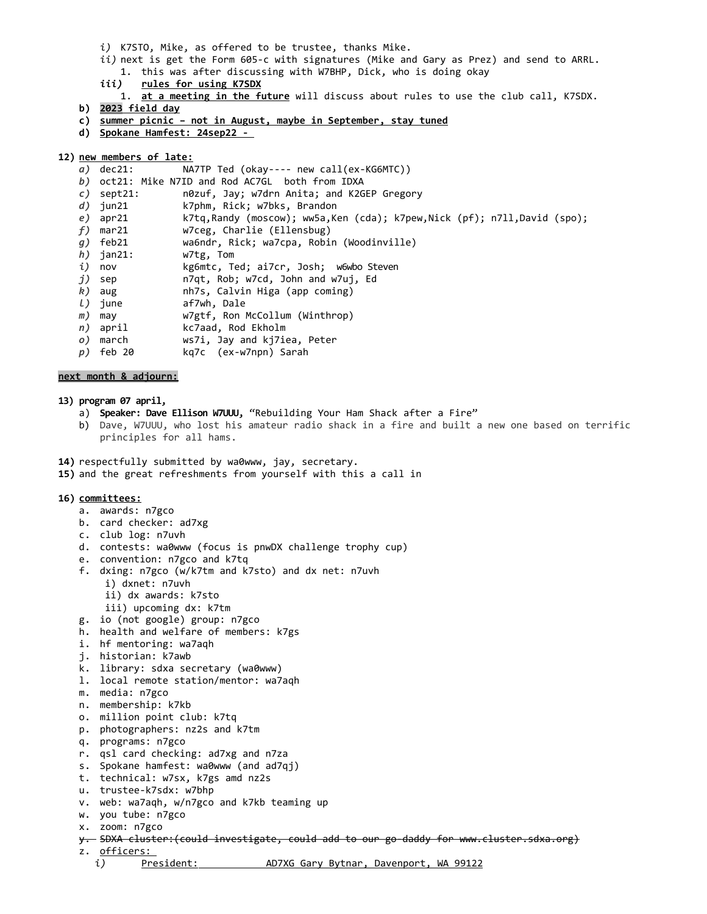- *i)* K7STO, Mike, as offered to be trustee, thanks Mike.
- *ii)* next is get the Form 605-c with signatures (Mike and Gary as Prez) and send to ARRL. 1. this was after discussing with W7BHP, Dick, who is doing okay
- *iii)* **rules for using K7SDX**
- 1. **at a meeting in the future** will discuss about rules to use the club call, K7SDX.
- **b)** 2023 field day
- **c) s ummer picnic not in August, maybe in September, stay tuned**
- **d) Spokane Hamfest: 24sep22**

## **12) new members of late:**

- *a)* dec21: NA7TP Ted (okay---- new call(ex-KG6MTC))
- *b)* oct21: Mike N7ID and Rod AC7GL both from IDXA
- *c)* sept21: n0zuf, Jay; w7drn Anita; and K2GEP Gregory
- *d)* jun21 k7phm, Rick; w7bks, Brandon
- e) apr21 k7tq,Randy (moscow); ww5a,Ken (cda); k7pew,Nick (pf); n7ll,David (spo);<br>f) mar21 w7ceg, Charlie (Ellensbug)
- *f)* mar21 w7ceg, Charlie (Ellensbug)
- *g)* feb21 wa6ndr, Rick; wa7cpa, Robin (Woodinville)
- *h*) jan21: w7tg, Tom<br>*i*) nov kg6mtc, To
- *i)* nov kg6mtc, Ted; ai7cr, Josh; w6wbo Steven<br>*j)* sep 17qt, Rob; w7cd, John and w7uj, Ed
- *j)* sep n7qt, Rob; w7cd, John and w7uj, Ed
- *k)* aug nh7s, Calvin Higa (app coming)
- *l)* june af7wh, Dale
- *m)* may w7gtf, Ron McCollum (Winthrop)
- *n)* april kc7aad, Rod Ekholm
- *o)* march ws7i, Jay and kj7iea, Peter
- *p)* feb 20 kq7c (ex-w7npn) Sarah

## **next month & adjourn:**

### **13) program 07 april,**

- a) **Speaker: Dave Ellison W7UUU,** "Rebuilding Your Ham Shack after a Fire"
- b) Dave, W7UUU, who lost his amateur radio shack in a fire and built a new one based on terrific principles for all hams.
- **14)** respectfully submitted by wa0www, jay, secretary.
- **15)** and the great refreshments from yourself with this a call in

#### **16) committees:**

- a. awards: n7gco
- b. card checker: ad7xg
- c. club log: n7uvh
- d. contests: wa0www (focus is pnwDX challenge trophy cup)
- e. convention: n7gco and k7tq
- f. dxing: n7gco (w/k7tm and k7sto) and dx net: n7uvh
	- i) dxnet: n7uvh
	- ii) dx awards: k7sto
	- iii) upcoming dx: k7tm
- g. io (not google) group: n7gco
- h. health and welfare of members: k7gs
- i. hf mentoring: wa7aqh
- j. historian: k7awb
- k. library: sdxa secretary (wa0www)
- l. local remote station/mentor: wa7aqh
- m. media: n7gco
- n. membership: k7kb
- o. million point club: k7tq
- p. photographers: nz2s and k7tm
- q. programs: n7gco
- r. qsl card checking: ad7xg and n7za
- s. Spokane hamfest: wa0www (and ad7qj)
- t. technical: w7sx, k7gs amd nz2s
- u. trustee-k7sdx: w7bhp
- v. web: wa7aqh, w/n7gco and k7kb teaming up
- w. you tube: n7gco
- x. zoom: n7gco
- y. SDXA cluster:(could investigate, could add to our go-daddy for www.cluster.sdxa.org)
- z. officers:
	- *i*) President: AD7XG Gary Bytnar, Davenport, WA 99122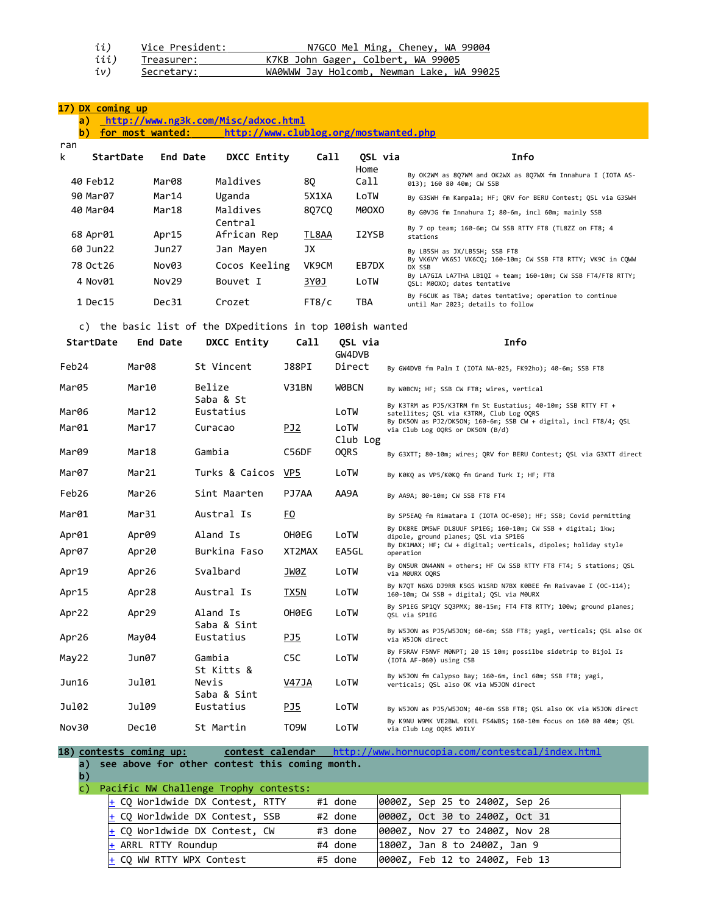| ii)  | Vice President: | N7GCO Mel Ming, Cheney, WA 99004          |
|------|-----------------|-------------------------------------------|
| iii) | Treasurer:      | K7KB John Gager, Colbert, WA 99005        |
| iv)  | Secretary:      | WA0WWW Jay Holcomb, Newman Lake, WA 99025 |

# **17) DX coming up**

# **a)<http://www.ng3k.com/Misc/adxoc.html>**

**b) for most wanted: <http://www.clublog.org/mostwanted.php>**

| ran |           |          |                     |       |              |                                                                                              |
|-----|-----------|----------|---------------------|-------|--------------|----------------------------------------------------------------------------------------------|
| k   | StartDate | End Date | DXCC Entity         | Call  | OSL via      | Info                                                                                         |
|     | 40 Feb12  | Mar08    | Maldives            | 80    | Home<br>Call | By OK2WM as 807WM and OK2WX as 807WX fm Innahura I (IOTA AS-<br>013); 160 80 40m; CW SSB     |
|     | 90 Mar07  | Mar14    | Uganda              | 5X1XA | LoTW         | By G3SWH fm Kampala; HF; QRV for BERU Contest; QSL via G3SWH                                 |
|     | 40 Mar04  | Mar18    | Maldives<br>Central | 807CO | MOOXO        | By G0VJG fm Innahura I; 80-6m, incl 60m; mainly SSB                                          |
|     | 68 Apr01  | Apr15    | African Rep         | TL8AA | I2YSB        | By 7 op team; 160-6m; CW SSB RTTY FT8 (TL8ZZ on FT8; 4<br>stations                           |
|     | 60 Jun22  | Jun27    | Jan Mayen           | JХ    |              | By LB5SH as JX/LB5SH; SSB FT8                                                                |
|     | 78 Oct 26 | Nov03    | Cocos Keeling       | VK9CM | EB7DX        | By VK6VY VK6SJ VK6CO; 160-10m; CW SSB FT8 RTTY; VK9C in COWW<br>DX SSB                       |
|     | 4 Nov01   | Nov29    | Bouvet I            | 3Y0J  | LoTW         | By LA7GIA LA7THA LB10I + team; 160-10m; CW SSB FT4/FT8 RTTY;<br>OSL: M00XO; dates tentative  |
|     | 1 Dec15   | Dec31    | Crozet              | FT8/c | TBA          | By F6CUK as TBA; dates tentative; operation to continue<br>until Mar 2023; details to follow |

# c) the basic list of the DXpeditions in top 100ish wanted

| <b>StartDate</b> | End Date          | <b>DXCC Entity</b>       | Call             | OSL via<br>GW4DVB | Info                                                                                                         |
|------------------|-------------------|--------------------------|------------------|-------------------|--------------------------------------------------------------------------------------------------------------|
| Feb24            | Mar08             | St Vincent               | J88PI            | Direct            | By GW4DVB fm Palm I (IOTA NA-025, FK92ho); 40-6m; SSB FT8                                                    |
| Mar05            | Mar10             | Belize<br>Saba & St      | V31BN            | <b>WOBCN</b>      | By W0BCN; HF; SSB CW FT8; wires, vertical                                                                    |
| Mar06            | Mar12             | Eustatius                |                  | LoTW              | By K3TRM as PJ5/K3TRM fm St Eustatius; 40-10m; SSB RTTY FT +<br>satellites; QSL via K3TRM, Club Log OQRS     |
| Mar01            | Mar17             | Curacao                  | PJ <sub>2</sub>  | LoTW<br>Club Log  | By DK5ON as PJ2/DK5ON; 160-6m; SSB CW + digital, incl FT8/4; QSL<br>via Club Log OQRS or DK5ON (B/d)         |
| Mar09            | Mar18             | Gambia                   | C56DF            | <b>OQRS</b>       | By G3XTT; 80-10m; wires; QRV for BERU Contest; QSL via G3XTT direct                                          |
| Mar07            | Mar21             | Turks & Caicos           | VP5              | LoTW              | By KØKO as VP5/KØKO fm Grand Turk I; HF; FT8                                                                 |
| Feb26            | Mar26             | Sint Maarten             | PJ7AA            | AA9A              | By AA9A; 80-10m; CW SSB FT8 FT4                                                                              |
| Mar01            | Mar31             | Austral Is               | E <sub>0</sub>   |                   | By SP5EAQ fm Rimatara I (IOTA OC-050); HF; SSB; Covid permitting                                             |
| Apr01            | Apr <sub>09</sub> | Aland Is                 | OH0EG            | LoTW              | By DK8RE DM5WF DL8UUF SP1EG; 160-10m; CW SSB + digital; 1kw;<br>dipole, ground planes; OSL via SP1EG         |
| Apr07            | Apr20             | Burkina Faso             | XT2MAX           | EA5GL             | By DK1MAX; HF; CW + digital; verticals, dipoles; holiday style<br>operation                                  |
| Apr19            | Apr26             | Svalbard                 | JW0Z             | LoTW              | By ON5UR ON4ANN + others; HF CW SSB RTTY FT8 FT4; 5 stations; QSL<br>via M0URX OORS                          |
| Apr15            | Apr28             | Austral Is               | TX5N             | LoTW              | By N7QT N6XG DJ9RR K5GS W1SRD N7BX K0BEE fm Raivavae I (OC-114);<br>160-10m; CW SSB + digital; QSL via M0URX |
| Apr22            | Apr29             | Aland Is                 | OH0EG            | LoTW              | By SP1EG SP1QY SQ3PMX; 80-15m; FT4 FT8 RTTY; 100w; ground planes;<br>OSL via SP1EG                           |
| Apr26            | May04             | Saba & Sint<br>Eustatius | PJ5              | LoTW              | By W5JON as PJ5/W5JON; 60-6m; SSB FT8; yagi, verticals; QSL also OK<br>via W5JON direct                      |
| May22            | Jun07             | Gambia<br>St Kitts &     | C <sub>5</sub> C | LoTW              | By F5RAV F5NVF M0NPT; 20 15 10m; possilbe sidetrip to Bijol Is<br>(IOTA AF-060) using C5B                    |
| Jun16            | Ju101             | Nevis<br>Saba & Sint     | <b>V47JA</b>     | LoTW              | By W5JON fm Calypso Bay; 160-6m, incl 60m; SSB FT8; yagi,<br>verticals; OSL also OK via W5JON direct         |
| Ju102            | Ju109             | Eustatius                | PJ5              | LoTW              | By W5JON as PJ5/W5JON; 40-6m SSB FT8; QSL also OK via W5JON direct                                           |
| Nov30            | Dec10             | St Martin                | T09W             | LoTW              | By K9NU W9MK VE2BWL K9EL FS4WBS; 160-10m focus on 160 80 40m; OSL<br>via Club Log OQRS W9ILY                 |

**18) contests coming up: contest calendar** <http://www.hornucopia.com/contestcal/index.html> **a) see above for other contest this coming month.** 

**b)**

c) Pacific NW Challenge Trophy contests:

| atille in the matteries in oping contests. |                                           |
|--------------------------------------------|-------------------------------------------|
| $\pm$ CQ Worldwide DX Contest, RTTY        | #1 done<br>0000Z, Sep 25 to 2400Z, Sep 26 |
| $ +$ CO Worldwide DX Contest, SSB          | #2 done<br>0000Z, Oct 30 to 2400Z, Oct 31 |
| $\pm$ CQ Worldwide DX Contest, CW          | #3 done<br>0000Z, Nov 27 to 2400Z, Nov 28 |
| $+$ ARRL RTTY Roundup                      | #4 done<br>1800Z, Jan 8 to 2400Z, Jan 9   |
| $ +$ CO WW RTTY WPX Contest                | 0000Z, Feb 12 to 2400Z, Feb 13<br>#5 done |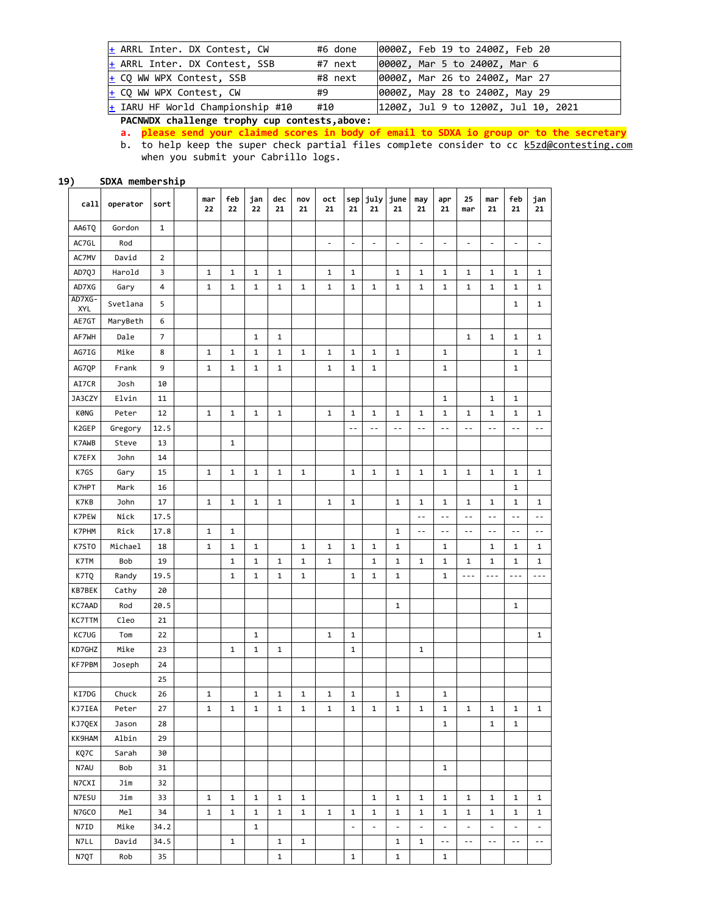| $+$ ARRL Inter. DX Contest, CW     | #6 done | 0000Z, Feb 19 to 2400Z, Feb 20      |
|------------------------------------|---------|-------------------------------------|
| $ +$ ARRL Inter. DX Contest, SSB   | #7 next | 0000Z, Mar 5 to 2400Z, Mar 6        |
| $\pm$ CQ WW WPX Contest, SSB       | #8 next | 0000Z, Mar 26 to 2400Z, Mar 27      |
| $ +$ CO WW WPX Contest, CW         | #9      | 0000Z, May 28 to 2400Z, May 29      |
| $+$ IARU HF World Championship #10 | #10     | 1200Z, Jul 9 to 1200Z, Jul 10, 2021 |

**PACNWDX challenge trophy cup contests,above:**

**a. please send your claimed scores in body of email to SDXA io group or to the secretary**  b. to help keep the super check partial files complete consider to cc <u>[k5zd@contesting.com](mailto:k5zd@contesting.com)</u> when you submit your Cabrillo logs.

**19) SDXA membership**

| call          | operator | sort           | mar<br>22    | feb<br>22    | jan<br>22    | dec<br>21    | nov<br>21    | oct<br>21      | sep<br>21     | july<br>21    | june<br>21               | may<br>21      | apr<br>21                | 25<br>mar                | mar<br>21      | feb<br>21      | jan<br>21                |
|---------------|----------|----------------|--------------|--------------|--------------|--------------|--------------|----------------|---------------|---------------|--------------------------|----------------|--------------------------|--------------------------|----------------|----------------|--------------------------|
| AA6TO         | Gordon   | $\mathbf{1}$   |              |              |              |              |              |                |               |               |                          |                |                          |                          |                |                |                          |
| AC7GL         | Rod      |                |              |              |              |              |              | $\overline{a}$ | $\frac{1}{2}$ | $\frac{1}{2}$ | $\overline{\phantom{a}}$ | $\frac{1}{2}$  | $\overline{\phantom{a}}$ | $\overline{\phantom{a}}$ | $\overline{a}$ | $\frac{1}{2}$  | $\overline{\phantom{a}}$ |
| AC7MV         | David    | $\overline{2}$ |              |              |              |              |              |                |               |               |                          |                |                          |                          |                |                |                          |
| AD7QJ         | Harold   | 3              | 1            | 1            | 1            | 1            |              | 1              | 1             |               | 1                        | 1              | 1                        | 1                        | 1              | 1              | 1                        |
| AD7XG         | Gary     | 4              | $\mathbf 1$  | $\mathbf 1$  | 1            | 1            | 1            | $\mathbf 1$    | $\mathbf 1$   | 1             | 1                        | 1              | 1                        | $\mathbf 1$              | 1              | 1              | $\mathbf 1$              |
| AD7XG-<br>XYL | Svetlana | 5              |              |              |              |              |              |                |               |               |                          |                |                          |                          |                | $\mathbf{1}$   | $\mathbf 1$              |
| AE7GT         | MaryBeth | 6              |              |              |              |              |              |                |               |               |                          |                |                          |                          |                |                |                          |
| AF7WH         | Dale     | 7              |              |              | 1            | $\mathbf 1$  |              |                |               |               |                          |                |                          | $\mathbf{1}$             | $\mathbf 1$    | 1              | 1                        |
| AG7IG         | Mike     | 8              | $\mathbf{1}$ | $\mathbf{1}$ | $\mathbf 1$  | $\mathbf{1}$ | $\mathbf{1}$ | $\mathbf{1}$   | $\mathbf{1}$  | $\mathbf{1}$  | $\mathbf{1}$             |                | $\mathbf{1}$             |                          |                | $\mathbf{1}$   | $\mathbf{1}$             |
| AG7QP         | Frank    | 9              | $\mathbf{1}$ | $\mathbf{1}$ | $\mathbf 1$  | $\mathbf{1}$ |              | $\mathbf{1}$   | $\mathbf{1}$  | $\mathbf 1$   |                          |                | $\mathbf{1}$             |                          |                | $\mathbf{1}$   |                          |
| AI7CR         | Josh     | 10             |              |              |              |              |              |                |               |               |                          |                |                          |                          |                |                |                          |
| JA3CZY        | Elvin    | 11             |              |              |              |              |              |                |               |               |                          |                | 1                        |                          | 1              | 1              |                          |
| <b>KØNG</b>   | Peter    | 12             | 1            | 1            | $\mathbf 1$  | $\mathbf 1$  |              | 1              | $\mathbf 1$   | 1             | 1                        | 1              | 1                        | 1                        | 1              | 1              | 1                        |
| K2GEP         | Gregory  | 12.5           |              |              |              |              |              |                | $\sim$ $\sim$ | $-$           | $\sim$ $\sim$            | $-$            | $\sim$ $\sim$            | $-$                      | $\sim$ $\sim$  | $-$            | $-$                      |
| K7AWB         | Steve    | 13             |              | $\mathbf{1}$ |              |              |              |                |               |               |                          |                |                          |                          |                |                |                          |
| K7EFX         | John     | 14             |              |              |              |              |              |                |               |               |                          |                |                          |                          |                |                |                          |
| K7GS          | Gary     | 15             | $\mathbf{1}$ | $\mathbf{1}$ | 1            | $\mathbf{1}$ | $\mathbf{1}$ |                | $\mathbf{1}$  | $\mathbf 1$   | $\mathbf{1}$             | $\mathbf{1}$   | $\mathbf{1}$             | $\mathbf{1}$             | $\mathbf{1}$   | $\mathbf{1}$   | $\mathbf{1}$             |
| K7HPT         | Mark     | 16             |              |              |              |              |              |                |               |               |                          |                |                          |                          |                | $\mathbf{1}$   |                          |
| K7KB          | John     | $17\,$         | $\mathbf 1$  | $\mathbf{1}$ | $\mathbf 1$  | $\mathbf 1$  |              | $\mathbf{1}$   | $\mathbf 1$   |               | $\mathbf{1}$             | 1              | $\mathbf{1}$             | 1                        | 1              | $\mathbf{1}$   | 1                        |
| K7PEW         | Nick     | 17.5           |              |              |              |              |              |                |               |               |                          | $\overline{a}$ | $\sim$ $\sim$            | $\overline{a}$           | $\sim$ $\sim$  | $\overline{a}$ | $\overline{a}$           |
| K7PHM         | Rick     | 17.8           | $\mathbf 1$  | 1            |              |              |              |                |               |               | $\mathbf 1$              | $-$            | $\overline{a}$           | $-$                      | $\sim$         | $\overline{a}$ | $\overline{a}$           |
| K7STO         | Michael  | 18             | $\mathbf{1}$ | $\mathbf{1}$ | $\mathbf 1$  |              | $\mathbf{1}$ | $\mathbf{1}$   | $\mathbf{1}$  | $\mathbf{1}$  | $\mathbf{1}$             |                | $\mathbf{1}$             |                          | 1              | 1              | 1                        |
| K7TM          | Bob      | 19             |              | $\mathbf{1}$ | 1            | $\mathbf 1$  | 1            | $\mathbf{1}$   |               | 1             | $\mathbf{1}$             | $\mathbf 1$    | $\mathbf{1}$             | 1                        | 1              | 1              | 1                        |
| K7TQ          | Randy    | 19.5           |              | $\mathbf{1}$ | $\mathbf 1$  | $\mathbf{1}$ | $\mathbf{1}$ |                | $\mathbf{1}$  | 1             | $\mathbf{1}$             |                | $\mathbf{1}$             | $- - -$                  | $\overline{a}$ | $\ddotsc$      | $- - -$                  |
| KB7BEK        | Cathy    | 20             |              |              |              |              |              |                |               |               |                          |                |                          |                          |                |                |                          |
| KC7AAD        | Rod      | 20.5           |              |              |              |              |              |                |               |               | $\mathbf{1}$             |                |                          |                          |                | $\mathbf{1}$   |                          |
| KC7TTM        | Cleo     | 21             |              |              |              |              |              |                |               |               |                          |                |                          |                          |                |                |                          |
| KC7UG         | Tom      | 22             |              |              | $\mathbf{1}$ |              |              | 1              | 1             |               |                          |                |                          |                          |                |                | $\mathbf 1$              |
| KD7GHZ        | Mike     | 23             |              | $\mathbf{1}$ | 1            | $\mathbf{1}$ |              |                | 1             |               |                          | $\mathbf{1}$   |                          |                          |                |                |                          |
| <b>KF7PBM</b> | Joseph   | 24             |              |              |              |              |              |                |               |               |                          |                |                          |                          |                |                |                          |
|               |          | 25             |              |              |              |              |              |                |               |               |                          |                |                          |                          |                |                |                          |
| KI7DG         | Chuck    | 26             | $\mathbf{1}$ |              | 1            | $\mathbf 1$  | 1            | $\mathbf{1}$   | $\mathbf 1$   |               | $\mathbf{1}$             |                | 1                        |                          |                |                |                          |
| KJ7IEA        | Peter    | 27             | 1            | $\mathbf{1}$ | 1            | 1            | 1            | $\mathbf{1}$   | $\mathbf 1$   | $\mathbf{1}$  | $\mathbf 1$              | $\mathbf{1}$   | 1                        | 1                        | $\mathbf{1}$   | $\mathbf{1}$   | $\mathbf{1}$             |
| KJ7QEX        | Jason    | 28             |              |              |              |              |              |                |               |               |                          |                | $\mathbf{1}$             |                          | 1              | 1              |                          |
| KK9HAM        | Albin    | 29             |              |              |              |              |              |                |               |               |                          |                |                          |                          |                |                |                          |
| KQ7C          | Sarah    | 30             |              |              |              |              |              |                |               |               |                          |                |                          |                          |                |                |                          |
| N7AU          | Bob      | 31             |              |              |              |              |              |                |               |               |                          |                | $\mathbf{1}$             |                          |                |                |                          |
| N7CXI         | Jim      | 32             |              |              |              |              |              |                |               |               |                          |                |                          |                          |                |                |                          |
| N7ESU         | Jim      | 33             | $\mathbf{1}$ | $\mathbf{1}$ | $\mathbf{1}$ | $\mathbf{1}$ | $\mathbf{1}$ |                |               | $\mathbf{1}$  | $\mathbf{1}$             | $\mathbf{1}$   | $\mathbf{1}$             | $\mathbf{1}$             | 1              | 1              | 1                        |
| N7GCO         | Mel      | 34             | $\mathbf{1}$ | 1            | 1            | 1            | 1            | $\mathbf{1}$   | 1             | 1             | 1                        | 1              | $\mathbf{1}$             | $\mathbf{1}$             | 1              | $\mathbf{1}$   | 1                        |
| N7ID          | Mike     | 34.2           |              |              | $\mathbf{1}$ |              |              |                | $\frac{1}{2}$ | $\frac{1}{2}$ | $\overline{\phantom{a}}$ | $\frac{1}{2}$  | $\overline{\phantom{a}}$ | $\overline{\phantom{a}}$ | $\frac{1}{2}$  | $\overline{a}$ | $\overline{\phantom{a}}$ |
| N7LL          | David    | 34.5           |              | 1            |              | 1            | 1            |                |               |               | 1                        | 1              | $\overline{a}$           | $\overline{a}$           | $\sim$         | $\overline{a}$ | $\sim$ $-$               |
| N7QT          | Rob      | 35             |              |              |              | $\mathbf 1$  |              |                | $\mathbf{1}$  |               | $\mathbf{1}$             |                | $\mathbf{1}$             |                          |                |                |                          |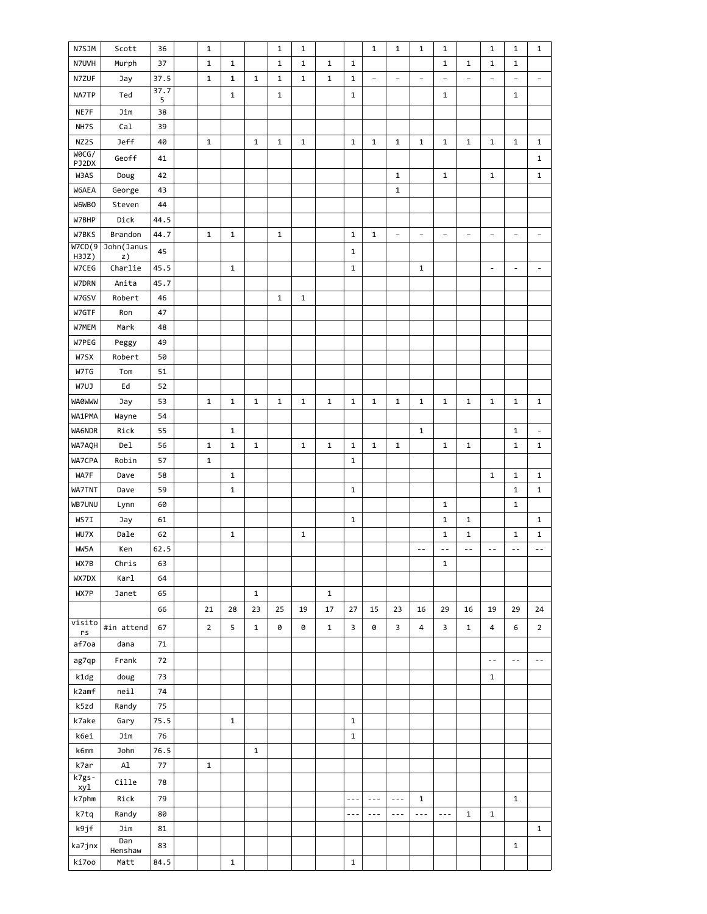| N7UVH<br>Murph<br>37<br>$\mathbf 1$<br>$\mathbf{1}$<br>$\mathbf 1$<br>1<br>$\mathbf{1}$<br>1<br>$\mathbf{1}$<br>1<br>$\mathbf{1}$<br>1<br>N7ZUF<br>37.5<br>$\mathbf{1}$<br>1<br>$\mathbf{1}$<br>$\mathbf 1$<br>$\mathbf 1$<br>1<br>$\mathbf{1}$<br>Jay<br>$\overline{\phantom{a}}$<br>$\overline{\phantom{0}}$<br>$\overline{\phantom{a}}$<br>$\qquad \qquad -$<br>$\overline{\phantom{m}}$<br>$\overline{\phantom{a}}$<br>$\qquad \qquad -$<br>$\qquad \qquad -$<br>37.7<br>$\mathbf{1}$<br>$\mathbf{1}$<br>NA7TP<br>Ted<br>1<br>1<br>$\mathbf{1}$<br>5<br>NE7F<br>Jim<br>38<br>Cal<br>NH7S<br>39<br>NZ2S<br>Jeff<br>40<br>$\mathbf{1}$<br>$\mathbf{1}$<br>$\mathbf{1}$<br>$\mathbf 1$<br>$\mathbf{1}$<br>$\mathbf{1}$<br>1<br>$\mathbf{1}$<br>$\mathbf{1}$<br>$\mathbf{1}$<br>$\mathbf{1}$<br>$\mathbf{1}$<br>$\mathbf{1}$<br>WOCG/<br>Geoff<br>$\mathbf 1$<br>41<br>PJ2DX<br>W3AS<br>42<br>$\mathbf{1}$<br>$\mathbf 1$<br>Doug<br>1<br>1<br>W6AEA<br>George<br>43<br>$\mathbf{1}$<br>W6WBO<br>Steven<br>44<br>W7BHP<br>44.5<br>Dick<br>Brandon<br>W7BKS<br>44.7<br>$\mathbf 1$<br>1<br>1<br>$\mathbf{1}$<br>1<br>$\overline{\phantom{a}}$<br>$\overline{\phantom{a}}$<br>$\overline{\phantom{a}}$<br>$\overline{\phantom{a}}$<br>$\overline{\phantom{a}}$<br>$\overline{\phantom{a}}$<br>$\qquad \qquad \blacksquare$<br>W7CD(9)<br>John (Janus<br>45<br>1<br>H3JZ)<br>z)<br>$\mathbf{1}$<br>W7CEG<br>Charlie<br>45.5<br>$\mathbf{1}$<br>$\mathbf{1}$<br>$\overline{\phantom{a}}$<br>$\overline{\phantom{a}}$<br>$\overline{\phantom{a}}$<br>W7DRN<br>Anita<br>45.7<br>W7GSV<br>Robert<br>$\mathbf{1}$<br>$\mathbf 1$<br>46<br>W7GTF<br>Ron<br>47<br>W7MEM<br>Mark<br>48<br>W7PEG<br>49<br>Peggy<br>W7SX<br>Robert<br>50<br>W7TG<br>Tom<br>51<br>W7UJ<br>Ed<br>52<br><b>WAOWWW</b><br>53<br>$\mathbf 1$<br>$\mathbf 1$<br>$\mathbf{1}$<br>$\mathbf{1}$<br>$\mathbf 1$<br>1<br>$\mathbf 1$<br>$\mathbf{1}$<br>1<br>$\mathbf{1}$<br>1<br>$\mathbf{1}$<br>$\mathbf 1$<br>$\mathbf 1$<br>1<br>Jay<br>WA1PMA<br>Wayne<br>54<br>WA6NDR<br>Rick<br>55<br>$\mathbf{1}$<br>$\mathbf{1}$<br>$\mathbf{1}$<br>$\overline{\phantom{a}}$<br>WA7AQH<br>Del<br>56<br>$\mathbf 1$<br>1<br>$\mathbf{1}$<br>$\mathbf 1$<br>1<br>$\mathbf 1$<br>$\mathbf{1}$<br>1<br>1<br>$\mathbf{1}$<br>$\mathbf{1}$<br>1<br>WA7CPA<br>Robin<br>57<br>$\mathbf{1}$<br>$\mathbf{1}$<br>WA7F<br>Dave<br>58<br>1<br>1<br>$\mathbf{1}$<br>1<br>59<br>WA7TNT<br>Dave<br>$\mathbf{1}$<br>$\mathbf{1}$<br>$\mathbf{1}$<br>$\mathbf{1}$<br>WB7UNU<br>60<br>Lynn<br>1<br>1<br>WS7I<br>1<br>1<br>Jay<br>61<br>1<br>1<br>WU7X<br>Dale<br>62<br>1<br>1<br>1<br>1<br>1<br>1<br>WW5A<br>62.5<br>Ken<br>$ -$<br>$ -$<br>$ -$<br>$ -$<br>$-$<br>$-$<br>WX7B<br>Chris<br>$\mathbf{1}$<br>63<br>WX7DX<br>Karl<br>64<br>Janet<br>WX7P<br>65<br>$\mathbf{1}$<br>1<br>29<br>16<br>66<br>21<br>28<br>23<br>25<br>19<br>17<br>27<br>15<br>23<br>16<br>19<br>29<br>24<br>visito<br>#in attend<br>$\overline{2}$<br>5<br>0<br>3<br>3<br>67<br>$\mathbf{1}$<br>0<br>$\mathbf{1}$<br>0<br>4<br>3<br>$\mathbf{1}$<br>4<br>6<br>$\overline{2}$<br>$\mathsf{rs}\xspace$<br>af7oa<br>dana<br>71<br>Frank<br>ag7qp<br>72<br>$\sim$ $\sim$<br>$-$<br>$- -$<br>k1dg<br>doug<br>73<br>$\mathbf{1}$<br>k2amf<br>nei1<br>74<br>k5zd<br>Randy<br>75<br>k7ake<br>Gary<br>75.5<br>$\mathbf 1$<br>$\mathbf{1}$<br>k6ei<br>Jim<br>76<br>$\mathbf 1$<br>John<br>k6mm<br>76.5<br>$\mathbf{1}$<br>k7ar<br>Al<br>77<br>$\mathbf{1}$<br>$k7gs -$<br>Cille<br>78<br>xyl<br>Rick<br>k7phm<br>79<br>$\mathbf{1}$<br>$\mathbf{1}$<br>$- - -$<br>$\sim$ $ \sim$<br>$\sim$ $ \sim$ | N7SJM | Scott | 36 | $\mathbf 1$ |  | $\mathbf{1}$ | $\mathbf 1$ |         | $\mathbf{1}$ | 1       | $\mathbf 1$ | 1       |              | 1            | $\mathbf 1$ | 1 |
|------------------------------------------------------------------------------------------------------------------------------------------------------------------------------------------------------------------------------------------------------------------------------------------------------------------------------------------------------------------------------------------------------------------------------------------------------------------------------------------------------------------------------------------------------------------------------------------------------------------------------------------------------------------------------------------------------------------------------------------------------------------------------------------------------------------------------------------------------------------------------------------------------------------------------------------------------------------------------------------------------------------------------------------------------------------------------------------------------------------------------------------------------------------------------------------------------------------------------------------------------------------------------------------------------------------------------------------------------------------------------------------------------------------------------------------------------------------------------------------------------------------------------------------------------------------------------------------------------------------------------------------------------------------------------------------------------------------------------------------------------------------------------------------------------------------------------------------------------------------------------------------------------------------------------------------------------------------------------------------------------------------------------------------------------------------------------------------------------------------------------------------------------------------------------------------------------------------------------------------------------------------------------------------------------------------------------------------------------------------------------------------------------------------------------------------------------------------------------------------------------------------------------------------------------------------------------------------------------------------------------------------------------------------------------------------------------------------------------------------------------------------------------------------------------------------------------------------------------------------------------------------------------------------------------------------------------------------------------------------------------------------------------------------------------------------------------------------------------------------------------------------------------------------------------------------------------------------------------------------------------------------------------------------------------------------------------------------------------------------------------------------------------------------------------------------------------------------------------------------------------------------------------------------------------------------------------------------------|-------|-------|----|-------------|--|--------------|-------------|---------|--------------|---------|-------------|---------|--------------|--------------|-------------|---|
|                                                                                                                                                                                                                                                                                                                                                                                                                                                                                                                                                                                                                                                                                                                                                                                                                                                                                                                                                                                                                                                                                                                                                                                                                                                                                                                                                                                                                                                                                                                                                                                                                                                                                                                                                                                                                                                                                                                                                                                                                                                                                                                                                                                                                                                                                                                                                                                                                                                                                                                                                                                                                                                                                                                                                                                                                                                                                                                                                                                                                                                                                                                                                                                                                                                                                                                                                                                                                                                                                                                                                                                                |       |       |    |             |  |              |             |         |              |         |             |         |              |              |             |   |
|                                                                                                                                                                                                                                                                                                                                                                                                                                                                                                                                                                                                                                                                                                                                                                                                                                                                                                                                                                                                                                                                                                                                                                                                                                                                                                                                                                                                                                                                                                                                                                                                                                                                                                                                                                                                                                                                                                                                                                                                                                                                                                                                                                                                                                                                                                                                                                                                                                                                                                                                                                                                                                                                                                                                                                                                                                                                                                                                                                                                                                                                                                                                                                                                                                                                                                                                                                                                                                                                                                                                                                                                |       |       |    |             |  |              |             |         |              |         |             |         |              |              |             |   |
|                                                                                                                                                                                                                                                                                                                                                                                                                                                                                                                                                                                                                                                                                                                                                                                                                                                                                                                                                                                                                                                                                                                                                                                                                                                                                                                                                                                                                                                                                                                                                                                                                                                                                                                                                                                                                                                                                                                                                                                                                                                                                                                                                                                                                                                                                                                                                                                                                                                                                                                                                                                                                                                                                                                                                                                                                                                                                                                                                                                                                                                                                                                                                                                                                                                                                                                                                                                                                                                                                                                                                                                                |       |       |    |             |  |              |             |         |              |         |             |         |              |              |             |   |
|                                                                                                                                                                                                                                                                                                                                                                                                                                                                                                                                                                                                                                                                                                                                                                                                                                                                                                                                                                                                                                                                                                                                                                                                                                                                                                                                                                                                                                                                                                                                                                                                                                                                                                                                                                                                                                                                                                                                                                                                                                                                                                                                                                                                                                                                                                                                                                                                                                                                                                                                                                                                                                                                                                                                                                                                                                                                                                                                                                                                                                                                                                                                                                                                                                                                                                                                                                                                                                                                                                                                                                                                |       |       |    |             |  |              |             |         |              |         |             |         |              |              |             |   |
|                                                                                                                                                                                                                                                                                                                                                                                                                                                                                                                                                                                                                                                                                                                                                                                                                                                                                                                                                                                                                                                                                                                                                                                                                                                                                                                                                                                                                                                                                                                                                                                                                                                                                                                                                                                                                                                                                                                                                                                                                                                                                                                                                                                                                                                                                                                                                                                                                                                                                                                                                                                                                                                                                                                                                                                                                                                                                                                                                                                                                                                                                                                                                                                                                                                                                                                                                                                                                                                                                                                                                                                                |       |       |    |             |  |              |             |         |              |         |             |         |              |              |             |   |
|                                                                                                                                                                                                                                                                                                                                                                                                                                                                                                                                                                                                                                                                                                                                                                                                                                                                                                                                                                                                                                                                                                                                                                                                                                                                                                                                                                                                                                                                                                                                                                                                                                                                                                                                                                                                                                                                                                                                                                                                                                                                                                                                                                                                                                                                                                                                                                                                                                                                                                                                                                                                                                                                                                                                                                                                                                                                                                                                                                                                                                                                                                                                                                                                                                                                                                                                                                                                                                                                                                                                                                                                |       |       |    |             |  |              |             |         |              |         |             |         |              |              |             |   |
|                                                                                                                                                                                                                                                                                                                                                                                                                                                                                                                                                                                                                                                                                                                                                                                                                                                                                                                                                                                                                                                                                                                                                                                                                                                                                                                                                                                                                                                                                                                                                                                                                                                                                                                                                                                                                                                                                                                                                                                                                                                                                                                                                                                                                                                                                                                                                                                                                                                                                                                                                                                                                                                                                                                                                                                                                                                                                                                                                                                                                                                                                                                                                                                                                                                                                                                                                                                                                                                                                                                                                                                                |       |       |    |             |  |              |             |         |              |         |             |         |              |              |             |   |
|                                                                                                                                                                                                                                                                                                                                                                                                                                                                                                                                                                                                                                                                                                                                                                                                                                                                                                                                                                                                                                                                                                                                                                                                                                                                                                                                                                                                                                                                                                                                                                                                                                                                                                                                                                                                                                                                                                                                                                                                                                                                                                                                                                                                                                                                                                                                                                                                                                                                                                                                                                                                                                                                                                                                                                                                                                                                                                                                                                                                                                                                                                                                                                                                                                                                                                                                                                                                                                                                                                                                                                                                |       |       |    |             |  |              |             |         |              |         |             |         |              |              |             |   |
|                                                                                                                                                                                                                                                                                                                                                                                                                                                                                                                                                                                                                                                                                                                                                                                                                                                                                                                                                                                                                                                                                                                                                                                                                                                                                                                                                                                                                                                                                                                                                                                                                                                                                                                                                                                                                                                                                                                                                                                                                                                                                                                                                                                                                                                                                                                                                                                                                                                                                                                                                                                                                                                                                                                                                                                                                                                                                                                                                                                                                                                                                                                                                                                                                                                                                                                                                                                                                                                                                                                                                                                                |       |       |    |             |  |              |             |         |              |         |             |         |              |              |             |   |
|                                                                                                                                                                                                                                                                                                                                                                                                                                                                                                                                                                                                                                                                                                                                                                                                                                                                                                                                                                                                                                                                                                                                                                                                                                                                                                                                                                                                                                                                                                                                                                                                                                                                                                                                                                                                                                                                                                                                                                                                                                                                                                                                                                                                                                                                                                                                                                                                                                                                                                                                                                                                                                                                                                                                                                                                                                                                                                                                                                                                                                                                                                                                                                                                                                                                                                                                                                                                                                                                                                                                                                                                |       |       |    |             |  |              |             |         |              |         |             |         |              |              |             |   |
|                                                                                                                                                                                                                                                                                                                                                                                                                                                                                                                                                                                                                                                                                                                                                                                                                                                                                                                                                                                                                                                                                                                                                                                                                                                                                                                                                                                                                                                                                                                                                                                                                                                                                                                                                                                                                                                                                                                                                                                                                                                                                                                                                                                                                                                                                                                                                                                                                                                                                                                                                                                                                                                                                                                                                                                                                                                                                                                                                                                                                                                                                                                                                                                                                                                                                                                                                                                                                                                                                                                                                                                                |       |       |    |             |  |              |             |         |              |         |             |         |              |              |             |   |
|                                                                                                                                                                                                                                                                                                                                                                                                                                                                                                                                                                                                                                                                                                                                                                                                                                                                                                                                                                                                                                                                                                                                                                                                                                                                                                                                                                                                                                                                                                                                                                                                                                                                                                                                                                                                                                                                                                                                                                                                                                                                                                                                                                                                                                                                                                                                                                                                                                                                                                                                                                                                                                                                                                                                                                                                                                                                                                                                                                                                                                                                                                                                                                                                                                                                                                                                                                                                                                                                                                                                                                                                |       |       |    |             |  |              |             |         |              |         |             |         |              |              |             |   |
|                                                                                                                                                                                                                                                                                                                                                                                                                                                                                                                                                                                                                                                                                                                                                                                                                                                                                                                                                                                                                                                                                                                                                                                                                                                                                                                                                                                                                                                                                                                                                                                                                                                                                                                                                                                                                                                                                                                                                                                                                                                                                                                                                                                                                                                                                                                                                                                                                                                                                                                                                                                                                                                                                                                                                                                                                                                                                                                                                                                                                                                                                                                                                                                                                                                                                                                                                                                                                                                                                                                                                                                                |       |       |    |             |  |              |             |         |              |         |             |         |              |              |             |   |
|                                                                                                                                                                                                                                                                                                                                                                                                                                                                                                                                                                                                                                                                                                                                                                                                                                                                                                                                                                                                                                                                                                                                                                                                                                                                                                                                                                                                                                                                                                                                                                                                                                                                                                                                                                                                                                                                                                                                                                                                                                                                                                                                                                                                                                                                                                                                                                                                                                                                                                                                                                                                                                                                                                                                                                                                                                                                                                                                                                                                                                                                                                                                                                                                                                                                                                                                                                                                                                                                                                                                                                                                |       |       |    |             |  |              |             |         |              |         |             |         |              |              |             |   |
|                                                                                                                                                                                                                                                                                                                                                                                                                                                                                                                                                                                                                                                                                                                                                                                                                                                                                                                                                                                                                                                                                                                                                                                                                                                                                                                                                                                                                                                                                                                                                                                                                                                                                                                                                                                                                                                                                                                                                                                                                                                                                                                                                                                                                                                                                                                                                                                                                                                                                                                                                                                                                                                                                                                                                                                                                                                                                                                                                                                                                                                                                                                                                                                                                                                                                                                                                                                                                                                                                                                                                                                                |       |       |    |             |  |              |             |         |              |         |             |         |              |              |             |   |
|                                                                                                                                                                                                                                                                                                                                                                                                                                                                                                                                                                                                                                                                                                                                                                                                                                                                                                                                                                                                                                                                                                                                                                                                                                                                                                                                                                                                                                                                                                                                                                                                                                                                                                                                                                                                                                                                                                                                                                                                                                                                                                                                                                                                                                                                                                                                                                                                                                                                                                                                                                                                                                                                                                                                                                                                                                                                                                                                                                                                                                                                                                                                                                                                                                                                                                                                                                                                                                                                                                                                                                                                |       |       |    |             |  |              |             |         |              |         |             |         |              |              |             |   |
|                                                                                                                                                                                                                                                                                                                                                                                                                                                                                                                                                                                                                                                                                                                                                                                                                                                                                                                                                                                                                                                                                                                                                                                                                                                                                                                                                                                                                                                                                                                                                                                                                                                                                                                                                                                                                                                                                                                                                                                                                                                                                                                                                                                                                                                                                                                                                                                                                                                                                                                                                                                                                                                                                                                                                                                                                                                                                                                                                                                                                                                                                                                                                                                                                                                                                                                                                                                                                                                                                                                                                                                                |       |       |    |             |  |              |             |         |              |         |             |         |              |              |             |   |
|                                                                                                                                                                                                                                                                                                                                                                                                                                                                                                                                                                                                                                                                                                                                                                                                                                                                                                                                                                                                                                                                                                                                                                                                                                                                                                                                                                                                                                                                                                                                                                                                                                                                                                                                                                                                                                                                                                                                                                                                                                                                                                                                                                                                                                                                                                                                                                                                                                                                                                                                                                                                                                                                                                                                                                                                                                                                                                                                                                                                                                                                                                                                                                                                                                                                                                                                                                                                                                                                                                                                                                                                |       |       |    |             |  |              |             |         |              |         |             |         |              |              |             |   |
|                                                                                                                                                                                                                                                                                                                                                                                                                                                                                                                                                                                                                                                                                                                                                                                                                                                                                                                                                                                                                                                                                                                                                                                                                                                                                                                                                                                                                                                                                                                                                                                                                                                                                                                                                                                                                                                                                                                                                                                                                                                                                                                                                                                                                                                                                                                                                                                                                                                                                                                                                                                                                                                                                                                                                                                                                                                                                                                                                                                                                                                                                                                                                                                                                                                                                                                                                                                                                                                                                                                                                                                                |       |       |    |             |  |              |             |         |              |         |             |         |              |              |             |   |
|                                                                                                                                                                                                                                                                                                                                                                                                                                                                                                                                                                                                                                                                                                                                                                                                                                                                                                                                                                                                                                                                                                                                                                                                                                                                                                                                                                                                                                                                                                                                                                                                                                                                                                                                                                                                                                                                                                                                                                                                                                                                                                                                                                                                                                                                                                                                                                                                                                                                                                                                                                                                                                                                                                                                                                                                                                                                                                                                                                                                                                                                                                                                                                                                                                                                                                                                                                                                                                                                                                                                                                                                |       |       |    |             |  |              |             |         |              |         |             |         |              |              |             |   |
|                                                                                                                                                                                                                                                                                                                                                                                                                                                                                                                                                                                                                                                                                                                                                                                                                                                                                                                                                                                                                                                                                                                                                                                                                                                                                                                                                                                                                                                                                                                                                                                                                                                                                                                                                                                                                                                                                                                                                                                                                                                                                                                                                                                                                                                                                                                                                                                                                                                                                                                                                                                                                                                                                                                                                                                                                                                                                                                                                                                                                                                                                                                                                                                                                                                                                                                                                                                                                                                                                                                                                                                                |       |       |    |             |  |              |             |         |              |         |             |         |              |              |             |   |
|                                                                                                                                                                                                                                                                                                                                                                                                                                                                                                                                                                                                                                                                                                                                                                                                                                                                                                                                                                                                                                                                                                                                                                                                                                                                                                                                                                                                                                                                                                                                                                                                                                                                                                                                                                                                                                                                                                                                                                                                                                                                                                                                                                                                                                                                                                                                                                                                                                                                                                                                                                                                                                                                                                                                                                                                                                                                                                                                                                                                                                                                                                                                                                                                                                                                                                                                                                                                                                                                                                                                                                                                |       |       |    |             |  |              |             |         |              |         |             |         |              |              |             |   |
|                                                                                                                                                                                                                                                                                                                                                                                                                                                                                                                                                                                                                                                                                                                                                                                                                                                                                                                                                                                                                                                                                                                                                                                                                                                                                                                                                                                                                                                                                                                                                                                                                                                                                                                                                                                                                                                                                                                                                                                                                                                                                                                                                                                                                                                                                                                                                                                                                                                                                                                                                                                                                                                                                                                                                                                                                                                                                                                                                                                                                                                                                                                                                                                                                                                                                                                                                                                                                                                                                                                                                                                                |       |       |    |             |  |              |             |         |              |         |             |         |              |              |             |   |
|                                                                                                                                                                                                                                                                                                                                                                                                                                                                                                                                                                                                                                                                                                                                                                                                                                                                                                                                                                                                                                                                                                                                                                                                                                                                                                                                                                                                                                                                                                                                                                                                                                                                                                                                                                                                                                                                                                                                                                                                                                                                                                                                                                                                                                                                                                                                                                                                                                                                                                                                                                                                                                                                                                                                                                                                                                                                                                                                                                                                                                                                                                                                                                                                                                                                                                                                                                                                                                                                                                                                                                                                |       |       |    |             |  |              |             |         |              |         |             |         |              |              |             |   |
|                                                                                                                                                                                                                                                                                                                                                                                                                                                                                                                                                                                                                                                                                                                                                                                                                                                                                                                                                                                                                                                                                                                                                                                                                                                                                                                                                                                                                                                                                                                                                                                                                                                                                                                                                                                                                                                                                                                                                                                                                                                                                                                                                                                                                                                                                                                                                                                                                                                                                                                                                                                                                                                                                                                                                                                                                                                                                                                                                                                                                                                                                                                                                                                                                                                                                                                                                                                                                                                                                                                                                                                                |       |       |    |             |  |              |             |         |              |         |             |         |              |              |             |   |
|                                                                                                                                                                                                                                                                                                                                                                                                                                                                                                                                                                                                                                                                                                                                                                                                                                                                                                                                                                                                                                                                                                                                                                                                                                                                                                                                                                                                                                                                                                                                                                                                                                                                                                                                                                                                                                                                                                                                                                                                                                                                                                                                                                                                                                                                                                                                                                                                                                                                                                                                                                                                                                                                                                                                                                                                                                                                                                                                                                                                                                                                                                                                                                                                                                                                                                                                                                                                                                                                                                                                                                                                |       |       |    |             |  |              |             |         |              |         |             |         |              |              |             |   |
|                                                                                                                                                                                                                                                                                                                                                                                                                                                                                                                                                                                                                                                                                                                                                                                                                                                                                                                                                                                                                                                                                                                                                                                                                                                                                                                                                                                                                                                                                                                                                                                                                                                                                                                                                                                                                                                                                                                                                                                                                                                                                                                                                                                                                                                                                                                                                                                                                                                                                                                                                                                                                                                                                                                                                                                                                                                                                                                                                                                                                                                                                                                                                                                                                                                                                                                                                                                                                                                                                                                                                                                                |       |       |    |             |  |              |             |         |              |         |             |         |              |              |             |   |
|                                                                                                                                                                                                                                                                                                                                                                                                                                                                                                                                                                                                                                                                                                                                                                                                                                                                                                                                                                                                                                                                                                                                                                                                                                                                                                                                                                                                                                                                                                                                                                                                                                                                                                                                                                                                                                                                                                                                                                                                                                                                                                                                                                                                                                                                                                                                                                                                                                                                                                                                                                                                                                                                                                                                                                                                                                                                                                                                                                                                                                                                                                                                                                                                                                                                                                                                                                                                                                                                                                                                                                                                |       |       |    |             |  |              |             |         |              |         |             |         |              |              |             |   |
|                                                                                                                                                                                                                                                                                                                                                                                                                                                                                                                                                                                                                                                                                                                                                                                                                                                                                                                                                                                                                                                                                                                                                                                                                                                                                                                                                                                                                                                                                                                                                                                                                                                                                                                                                                                                                                                                                                                                                                                                                                                                                                                                                                                                                                                                                                                                                                                                                                                                                                                                                                                                                                                                                                                                                                                                                                                                                                                                                                                                                                                                                                                                                                                                                                                                                                                                                                                                                                                                                                                                                                                                |       |       |    |             |  |              |             |         |              |         |             |         |              |              |             |   |
|                                                                                                                                                                                                                                                                                                                                                                                                                                                                                                                                                                                                                                                                                                                                                                                                                                                                                                                                                                                                                                                                                                                                                                                                                                                                                                                                                                                                                                                                                                                                                                                                                                                                                                                                                                                                                                                                                                                                                                                                                                                                                                                                                                                                                                                                                                                                                                                                                                                                                                                                                                                                                                                                                                                                                                                                                                                                                                                                                                                                                                                                                                                                                                                                                                                                                                                                                                                                                                                                                                                                                                                                |       |       |    |             |  |              |             |         |              |         |             |         |              |              |             |   |
|                                                                                                                                                                                                                                                                                                                                                                                                                                                                                                                                                                                                                                                                                                                                                                                                                                                                                                                                                                                                                                                                                                                                                                                                                                                                                                                                                                                                                                                                                                                                                                                                                                                                                                                                                                                                                                                                                                                                                                                                                                                                                                                                                                                                                                                                                                                                                                                                                                                                                                                                                                                                                                                                                                                                                                                                                                                                                                                                                                                                                                                                                                                                                                                                                                                                                                                                                                                                                                                                                                                                                                                                |       |       |    |             |  |              |             |         |              |         |             |         |              |              |             |   |
|                                                                                                                                                                                                                                                                                                                                                                                                                                                                                                                                                                                                                                                                                                                                                                                                                                                                                                                                                                                                                                                                                                                                                                                                                                                                                                                                                                                                                                                                                                                                                                                                                                                                                                                                                                                                                                                                                                                                                                                                                                                                                                                                                                                                                                                                                                                                                                                                                                                                                                                                                                                                                                                                                                                                                                                                                                                                                                                                                                                                                                                                                                                                                                                                                                                                                                                                                                                                                                                                                                                                                                                                |       |       |    |             |  |              |             |         |              |         |             |         |              |              |             |   |
|                                                                                                                                                                                                                                                                                                                                                                                                                                                                                                                                                                                                                                                                                                                                                                                                                                                                                                                                                                                                                                                                                                                                                                                                                                                                                                                                                                                                                                                                                                                                                                                                                                                                                                                                                                                                                                                                                                                                                                                                                                                                                                                                                                                                                                                                                                                                                                                                                                                                                                                                                                                                                                                                                                                                                                                                                                                                                                                                                                                                                                                                                                                                                                                                                                                                                                                                                                                                                                                                                                                                                                                                |       |       |    |             |  |              |             |         |              |         |             |         |              |              |             |   |
|                                                                                                                                                                                                                                                                                                                                                                                                                                                                                                                                                                                                                                                                                                                                                                                                                                                                                                                                                                                                                                                                                                                                                                                                                                                                                                                                                                                                                                                                                                                                                                                                                                                                                                                                                                                                                                                                                                                                                                                                                                                                                                                                                                                                                                                                                                                                                                                                                                                                                                                                                                                                                                                                                                                                                                                                                                                                                                                                                                                                                                                                                                                                                                                                                                                                                                                                                                                                                                                                                                                                                                                                |       |       |    |             |  |              |             |         |              |         |             |         |              |              |             |   |
|                                                                                                                                                                                                                                                                                                                                                                                                                                                                                                                                                                                                                                                                                                                                                                                                                                                                                                                                                                                                                                                                                                                                                                                                                                                                                                                                                                                                                                                                                                                                                                                                                                                                                                                                                                                                                                                                                                                                                                                                                                                                                                                                                                                                                                                                                                                                                                                                                                                                                                                                                                                                                                                                                                                                                                                                                                                                                                                                                                                                                                                                                                                                                                                                                                                                                                                                                                                                                                                                                                                                                                                                |       |       |    |             |  |              |             |         |              |         |             |         |              |              |             |   |
|                                                                                                                                                                                                                                                                                                                                                                                                                                                                                                                                                                                                                                                                                                                                                                                                                                                                                                                                                                                                                                                                                                                                                                                                                                                                                                                                                                                                                                                                                                                                                                                                                                                                                                                                                                                                                                                                                                                                                                                                                                                                                                                                                                                                                                                                                                                                                                                                                                                                                                                                                                                                                                                                                                                                                                                                                                                                                                                                                                                                                                                                                                                                                                                                                                                                                                                                                                                                                                                                                                                                                                                                |       |       |    |             |  |              |             |         |              |         |             |         |              |              |             |   |
|                                                                                                                                                                                                                                                                                                                                                                                                                                                                                                                                                                                                                                                                                                                                                                                                                                                                                                                                                                                                                                                                                                                                                                                                                                                                                                                                                                                                                                                                                                                                                                                                                                                                                                                                                                                                                                                                                                                                                                                                                                                                                                                                                                                                                                                                                                                                                                                                                                                                                                                                                                                                                                                                                                                                                                                                                                                                                                                                                                                                                                                                                                                                                                                                                                                                                                                                                                                                                                                                                                                                                                                                |       |       |    |             |  |              |             |         |              |         |             |         |              |              |             |   |
|                                                                                                                                                                                                                                                                                                                                                                                                                                                                                                                                                                                                                                                                                                                                                                                                                                                                                                                                                                                                                                                                                                                                                                                                                                                                                                                                                                                                                                                                                                                                                                                                                                                                                                                                                                                                                                                                                                                                                                                                                                                                                                                                                                                                                                                                                                                                                                                                                                                                                                                                                                                                                                                                                                                                                                                                                                                                                                                                                                                                                                                                                                                                                                                                                                                                                                                                                                                                                                                                                                                                                                                                |       |       |    |             |  |              |             |         |              |         |             |         |              |              |             |   |
|                                                                                                                                                                                                                                                                                                                                                                                                                                                                                                                                                                                                                                                                                                                                                                                                                                                                                                                                                                                                                                                                                                                                                                                                                                                                                                                                                                                                                                                                                                                                                                                                                                                                                                                                                                                                                                                                                                                                                                                                                                                                                                                                                                                                                                                                                                                                                                                                                                                                                                                                                                                                                                                                                                                                                                                                                                                                                                                                                                                                                                                                                                                                                                                                                                                                                                                                                                                                                                                                                                                                                                                                |       |       |    |             |  |              |             |         |              |         |             |         |              |              |             |   |
|                                                                                                                                                                                                                                                                                                                                                                                                                                                                                                                                                                                                                                                                                                                                                                                                                                                                                                                                                                                                                                                                                                                                                                                                                                                                                                                                                                                                                                                                                                                                                                                                                                                                                                                                                                                                                                                                                                                                                                                                                                                                                                                                                                                                                                                                                                                                                                                                                                                                                                                                                                                                                                                                                                                                                                                                                                                                                                                                                                                                                                                                                                                                                                                                                                                                                                                                                                                                                                                                                                                                                                                                |       |       |    |             |  |              |             |         |              |         |             |         |              |              |             |   |
|                                                                                                                                                                                                                                                                                                                                                                                                                                                                                                                                                                                                                                                                                                                                                                                                                                                                                                                                                                                                                                                                                                                                                                                                                                                                                                                                                                                                                                                                                                                                                                                                                                                                                                                                                                                                                                                                                                                                                                                                                                                                                                                                                                                                                                                                                                                                                                                                                                                                                                                                                                                                                                                                                                                                                                                                                                                                                                                                                                                                                                                                                                                                                                                                                                                                                                                                                                                                                                                                                                                                                                                                |       |       |    |             |  |              |             |         |              |         |             |         |              |              |             |   |
|                                                                                                                                                                                                                                                                                                                                                                                                                                                                                                                                                                                                                                                                                                                                                                                                                                                                                                                                                                                                                                                                                                                                                                                                                                                                                                                                                                                                                                                                                                                                                                                                                                                                                                                                                                                                                                                                                                                                                                                                                                                                                                                                                                                                                                                                                                                                                                                                                                                                                                                                                                                                                                                                                                                                                                                                                                                                                                                                                                                                                                                                                                                                                                                                                                                                                                                                                                                                                                                                                                                                                                                                |       |       |    |             |  |              |             |         |              |         |             |         |              |              |             |   |
|                                                                                                                                                                                                                                                                                                                                                                                                                                                                                                                                                                                                                                                                                                                                                                                                                                                                                                                                                                                                                                                                                                                                                                                                                                                                                                                                                                                                                                                                                                                                                                                                                                                                                                                                                                                                                                                                                                                                                                                                                                                                                                                                                                                                                                                                                                                                                                                                                                                                                                                                                                                                                                                                                                                                                                                                                                                                                                                                                                                                                                                                                                                                                                                                                                                                                                                                                                                                                                                                                                                                                                                                |       |       |    |             |  |              |             |         |              |         |             |         |              |              |             |   |
|                                                                                                                                                                                                                                                                                                                                                                                                                                                                                                                                                                                                                                                                                                                                                                                                                                                                                                                                                                                                                                                                                                                                                                                                                                                                                                                                                                                                                                                                                                                                                                                                                                                                                                                                                                                                                                                                                                                                                                                                                                                                                                                                                                                                                                                                                                                                                                                                                                                                                                                                                                                                                                                                                                                                                                                                                                                                                                                                                                                                                                                                                                                                                                                                                                                                                                                                                                                                                                                                                                                                                                                                |       |       |    |             |  |              |             |         |              |         |             |         |              |              |             |   |
|                                                                                                                                                                                                                                                                                                                                                                                                                                                                                                                                                                                                                                                                                                                                                                                                                                                                                                                                                                                                                                                                                                                                                                                                                                                                                                                                                                                                                                                                                                                                                                                                                                                                                                                                                                                                                                                                                                                                                                                                                                                                                                                                                                                                                                                                                                                                                                                                                                                                                                                                                                                                                                                                                                                                                                                                                                                                                                                                                                                                                                                                                                                                                                                                                                                                                                                                                                                                                                                                                                                                                                                                |       |       |    |             |  |              |             |         |              |         |             |         |              |              |             |   |
|                                                                                                                                                                                                                                                                                                                                                                                                                                                                                                                                                                                                                                                                                                                                                                                                                                                                                                                                                                                                                                                                                                                                                                                                                                                                                                                                                                                                                                                                                                                                                                                                                                                                                                                                                                                                                                                                                                                                                                                                                                                                                                                                                                                                                                                                                                                                                                                                                                                                                                                                                                                                                                                                                                                                                                                                                                                                                                                                                                                                                                                                                                                                                                                                                                                                                                                                                                                                                                                                                                                                                                                                |       |       |    |             |  |              |             |         |              |         |             |         |              |              |             |   |
|                                                                                                                                                                                                                                                                                                                                                                                                                                                                                                                                                                                                                                                                                                                                                                                                                                                                                                                                                                                                                                                                                                                                                                                                                                                                                                                                                                                                                                                                                                                                                                                                                                                                                                                                                                                                                                                                                                                                                                                                                                                                                                                                                                                                                                                                                                                                                                                                                                                                                                                                                                                                                                                                                                                                                                                                                                                                                                                                                                                                                                                                                                                                                                                                                                                                                                                                                                                                                                                                                                                                                                                                |       |       |    |             |  |              |             |         |              |         |             |         |              |              |             |   |
|                                                                                                                                                                                                                                                                                                                                                                                                                                                                                                                                                                                                                                                                                                                                                                                                                                                                                                                                                                                                                                                                                                                                                                                                                                                                                                                                                                                                                                                                                                                                                                                                                                                                                                                                                                                                                                                                                                                                                                                                                                                                                                                                                                                                                                                                                                                                                                                                                                                                                                                                                                                                                                                                                                                                                                                                                                                                                                                                                                                                                                                                                                                                                                                                                                                                                                                                                                                                                                                                                                                                                                                                |       |       |    |             |  |              |             |         |              |         |             |         |              |              |             |   |
|                                                                                                                                                                                                                                                                                                                                                                                                                                                                                                                                                                                                                                                                                                                                                                                                                                                                                                                                                                                                                                                                                                                                                                                                                                                                                                                                                                                                                                                                                                                                                                                                                                                                                                                                                                                                                                                                                                                                                                                                                                                                                                                                                                                                                                                                                                                                                                                                                                                                                                                                                                                                                                                                                                                                                                                                                                                                                                                                                                                                                                                                                                                                                                                                                                                                                                                                                                                                                                                                                                                                                                                                |       |       |    |             |  |              |             |         |              |         |             |         |              |              |             |   |
|                                                                                                                                                                                                                                                                                                                                                                                                                                                                                                                                                                                                                                                                                                                                                                                                                                                                                                                                                                                                                                                                                                                                                                                                                                                                                                                                                                                                                                                                                                                                                                                                                                                                                                                                                                                                                                                                                                                                                                                                                                                                                                                                                                                                                                                                                                                                                                                                                                                                                                                                                                                                                                                                                                                                                                                                                                                                                                                                                                                                                                                                                                                                                                                                                                                                                                                                                                                                                                                                                                                                                                                                |       |       |    |             |  |              |             |         |              |         |             |         |              |              |             |   |
|                                                                                                                                                                                                                                                                                                                                                                                                                                                                                                                                                                                                                                                                                                                                                                                                                                                                                                                                                                                                                                                                                                                                                                                                                                                                                                                                                                                                                                                                                                                                                                                                                                                                                                                                                                                                                                                                                                                                                                                                                                                                                                                                                                                                                                                                                                                                                                                                                                                                                                                                                                                                                                                                                                                                                                                                                                                                                                                                                                                                                                                                                                                                                                                                                                                                                                                                                                                                                                                                                                                                                                                                |       |       |    |             |  |              |             |         |              |         |             |         |              |              |             |   |
|                                                                                                                                                                                                                                                                                                                                                                                                                                                                                                                                                                                                                                                                                                                                                                                                                                                                                                                                                                                                                                                                                                                                                                                                                                                                                                                                                                                                                                                                                                                                                                                                                                                                                                                                                                                                                                                                                                                                                                                                                                                                                                                                                                                                                                                                                                                                                                                                                                                                                                                                                                                                                                                                                                                                                                                                                                                                                                                                                                                                                                                                                                                                                                                                                                                                                                                                                                                                                                                                                                                                                                                                | k7tq  | Randy | 80 |             |  |              |             | $- - -$ | $- - -$      | $- - -$ | $- - -$     | $- - -$ | $\mathbf{1}$ | $\mathbf{1}$ |             |   |
| k9jf<br>Jim<br>81<br>$\mathbf{1}$                                                                                                                                                                                                                                                                                                                                                                                                                                                                                                                                                                                                                                                                                                                                                                                                                                                                                                                                                                                                                                                                                                                                                                                                                                                                                                                                                                                                                                                                                                                                                                                                                                                                                                                                                                                                                                                                                                                                                                                                                                                                                                                                                                                                                                                                                                                                                                                                                                                                                                                                                                                                                                                                                                                                                                                                                                                                                                                                                                                                                                                                                                                                                                                                                                                                                                                                                                                                                                                                                                                                                              |       |       |    |             |  |              |             |         |              |         |             |         |              |              |             |   |
| Dan<br>ka7jnx<br>83<br>$\mathbf{1}$<br>Henshaw                                                                                                                                                                                                                                                                                                                                                                                                                                                                                                                                                                                                                                                                                                                                                                                                                                                                                                                                                                                                                                                                                                                                                                                                                                                                                                                                                                                                                                                                                                                                                                                                                                                                                                                                                                                                                                                                                                                                                                                                                                                                                                                                                                                                                                                                                                                                                                                                                                                                                                                                                                                                                                                                                                                                                                                                                                                                                                                                                                                                                                                                                                                                                                                                                                                                                                                                                                                                                                                                                                                                                 |       |       |    |             |  |              |             |         |              |         |             |         |              |              |             |   |
| Matt<br>84.5<br>ki7oo<br>$\mathbf{1}$<br>$\mathbf{1}$                                                                                                                                                                                                                                                                                                                                                                                                                                                                                                                                                                                                                                                                                                                                                                                                                                                                                                                                                                                                                                                                                                                                                                                                                                                                                                                                                                                                                                                                                                                                                                                                                                                                                                                                                                                                                                                                                                                                                                                                                                                                                                                                                                                                                                                                                                                                                                                                                                                                                                                                                                                                                                                                                                                                                                                                                                                                                                                                                                                                                                                                                                                                                                                                                                                                                                                                                                                                                                                                                                                                          |       |       |    |             |  |              |             |         |              |         |             |         |              |              |             |   |